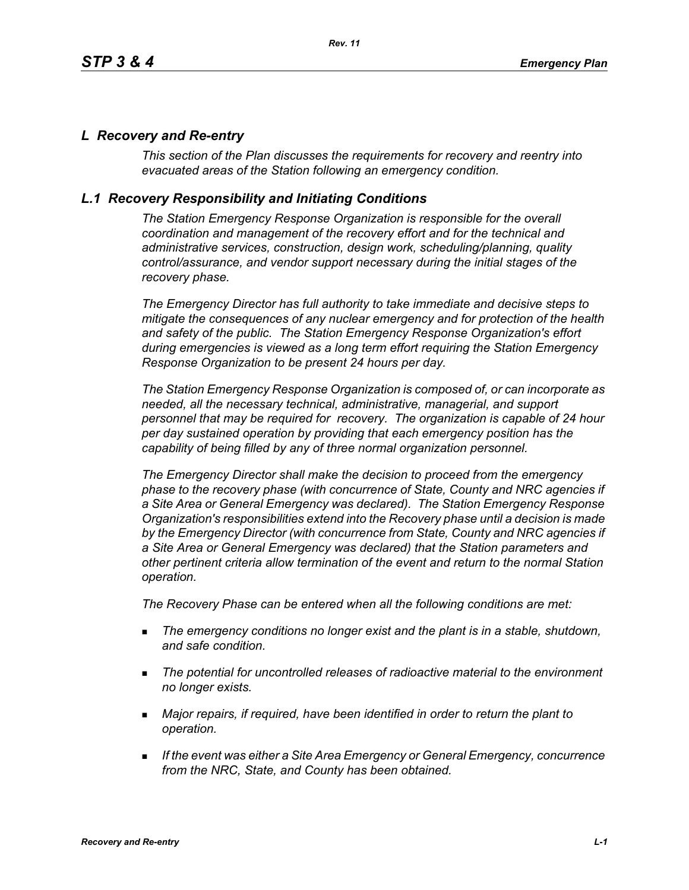### *L Recovery and Re-entry*

*This section of the Plan discusses the requirements for recovery and reentry into evacuated areas of the Station following an emergency condition.* 

### *L.1 Recovery Responsibility and Initiating Conditions*

*The Station Emergency Response Organization is responsible for the overall coordination and management of the recovery effort and for the technical and administrative services, construction, design work, scheduling/planning, quality control/assurance, and vendor support necessary during the initial stages of the recovery phase.*

*The Emergency Director has full authority to take immediate and decisive steps to mitigate the consequences of any nuclear emergency and for protection of the health and safety of the public. The Station Emergency Response Organization's effort during emergencies is viewed as a long term effort requiring the Station Emergency Response Organization to be present 24 hours per day.*

*The Station Emergency Response Organization is composed of, or can incorporate as needed, all the necessary technical, administrative, managerial, and support personnel that may be required for recovery. The organization is capable of 24 hour per day sustained operation by providing that each emergency position has the capability of being filled by any of three normal organization personnel.*

*The Emergency Director shall make the decision to proceed from the emergency phase to the recovery phase (with concurrence of State, County and NRC agencies if a Site Area or General Emergency was declared). The Station Emergency Response Organization's responsibilities extend into the Recovery phase until a decision is made by the Emergency Director (with concurrence from State, County and NRC agencies if a Site Area or General Emergency was declared) that the Station parameters and other pertinent criteria allow termination of the event and return to the normal Station operation.*

*The Recovery Phase can be entered when all the following conditions are met:*

- *The emergency conditions no longer exist and the plant is in a stable, shutdown, and safe condition.*
- *The potential for uncontrolled releases of radioactive material to the environment no longer exists.*
- *Major repairs, if required, have been identified in order to return the plant to operation.*
- *If the event was either a Site Area Emergency or General Emergency, concurrence from the NRC, State, and County has been obtained.*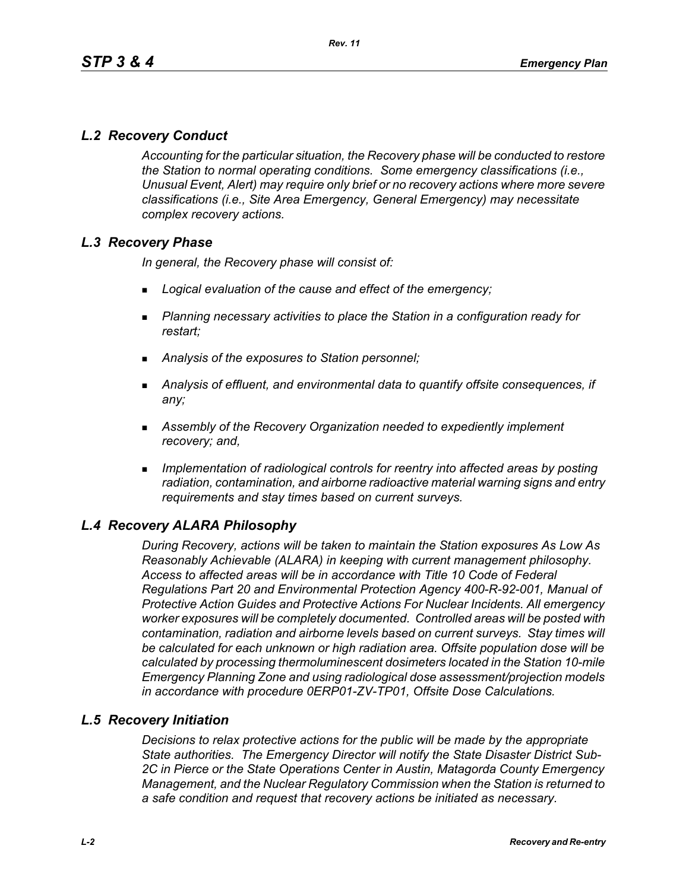# *L.2 Recovery Conduct*

*Accounting for the particular situation, the Recovery phase will be conducted to restore the Station to normal operating conditions. Some emergency classifications (i.e., Unusual Event, Alert) may require only brief or no recovery actions where more severe classifications (i.e., Site Area Emergency, General Emergency) may necessitate complex recovery actions.*

# *L.3 Recovery Phase*

*In general, the Recovery phase will consist of:*

- *Logical evaluation of the cause and effect of the emergency;*
- *Planning necessary activities to place the Station in a configuration ready for restart;*
- *Analysis of the exposures to Station personnel;*
- *Analysis of effluent, and environmental data to quantify offsite consequences, if any;*
- *Assembly of the Recovery Organization needed to expediently implement recovery; and,*
- *Implementation of radiological controls for reentry into affected areas by posting radiation, contamination, and airborne radioactive material warning signs and entry requirements and stay times based on current surveys.*

# *L.4 Recovery ALARA Philosophy*

*During Recovery, actions will be taken to maintain the Station exposures As Low As Reasonably Achievable (ALARA) in keeping with current management philosophy. Access to affected areas will be in accordance with Title 10 Code of Federal Regulations Part 20 and Environmental Protection Agency 400-R-92-001, Manual of Protective Action Guides and Protective Actions For Nuclear Incidents. All emergency worker exposures will be completely documented. Controlled areas will be posted with contamination, radiation and airborne levels based on current surveys. Stay times will be calculated for each unknown or high radiation area. Offsite population dose will be calculated by processing thermoluminescent dosimeters located in the Station 10-mile Emergency Planning Zone and using radiological dose assessment/projection models in accordance with procedure 0ERP01-ZV-TP01, Offsite Dose Calculations.*

#### *L.5 Recovery Initiation*

*Decisions to relax protective actions for the public will be made by the appropriate State authorities. The Emergency Director will notify the State Disaster District Sub-2C in Pierce or the State Operations Center in Austin, Matagorda County Emergency Management, and the Nuclear Regulatory Commission when the Station is returned to a safe condition and request that recovery actions be initiated as necessary.*